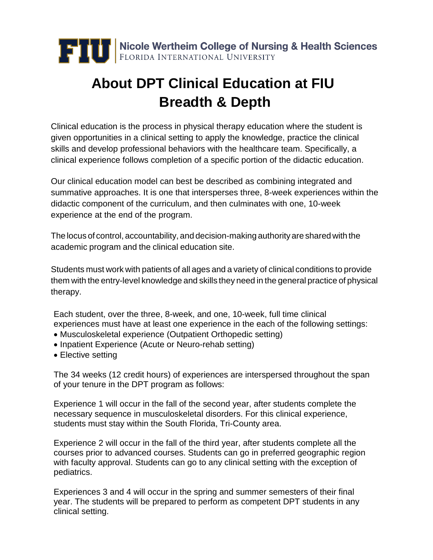

## **About DPT Clinical Education at FIU Breadth & Depth**

Clinical education is the process in physical therapy education where the student is given opportunities in a clinical setting to apply the knowledge, practice the clinical skills and develop professional behaviors with the healthcare team. Specifically, a clinical experience follows completion of a specific portion of the didactic education.

Our clinical education model can best be described as combining integrated and summative approaches. It is one that intersperses three, 8-week experiences within the didactic component of the curriculum, and then culminates with one, 10-week experience at the end of the program.

The locus of control, accountability, and decision-making authorityare shared with the academic program and the clinical education site.

Students must work with patients of all ages and a variety of clinical conditions to provide them with the entry-level knowledge and skills they need in the general practice of physical therapy.

Each student, over the three, 8-week, and one, 10-week, full time clinical experiences must have at least one experience in the each of the following settings:

- Musculoskeletal experience (Outpatient Orthopedic setting)
- Inpatient Experience (Acute or Neuro-rehab setting)
- Elective setting

The 34 weeks (12 credit hours) of experiences are interspersed throughout the span of your tenure in the DPT program as follows:

Experience 1 will occur in the fall of the second year, after students complete the necessary sequence in musculoskeletal disorders. For this clinical experience, students must stay within the South Florida, Tri-County area.

Experience 2 will occur in the fall of the third year, after students complete all the courses prior to advanced courses. Students can go in preferred geographic region with faculty approval. Students can go to any clinical setting with the exception of pediatrics.

Experiences 3 and 4 will occur in the spring and summer semesters of their final year. The students will be prepared to perform as competent DPT students in any clinical setting.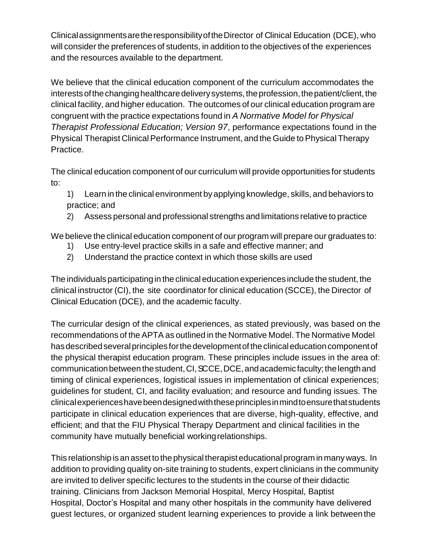ClinicalassignmentsaretheresponsibilityoftheDirector of Clinical Education (DCE), who will consider the preferences of students, in addition to the objectives of the experiences and the resources available to the department.

We believe that the clinical education component of the curriculum accommodates the interests of the changing healthcare delivery systems, the profession, the patient/client, the clinical facility, and higher education. The outcomes of our clinical education program are congruent with the practice expectations found in *A Normative Model for Physical Therapist Professional Education; Version 97*, performance expectations found in the Physical Therapist Clinical Performance Instrument, and the Guide to Physical Therapy Practice.

The clinical education component of our curriculum will provide opportunities for students to:

1) Learn in the clinical environment by applying knowledge, skills, and behaviors to practice; and

2) Assess personal and professional strengths and limitations relative to practice

We believe the clinical education component of our program will prepare our graduates to:

- 1) Use entry-level practice skills in a safe and effective manner; and
- 2) Understand the practice context in which those skills are used

The individuals participating in the clinical education experiences include the student, the clinical instructor (CI), the site coordinator for clinical education (SCCE), the Director of Clinical Education (DCE), and the academic faculty.

The curricular design of the clinical experiences, as stated previously, was based on the recommendations of the APTA as outlined in the Normative Model. The Normative Model has described several principles for the development of the clinical education component of the physical therapist education program. These principles include issues in the area of: communication between the student, CI, SCCE, DCE, and academic faculty; the length and timing of clinical experiences, logistical issues in implementation of clinical experiences; guidelines for student, CI, and facility evaluation; and resource and funding issues. The clinicalexperienceshavebeendesignedwiththeseprinciplesinmindtoensurethatstudents participate in clinical education experiences that are diverse, high-quality, effective, and efficient; and that the FIU Physical Therapy Department and clinical facilities in the community have mutually beneficial workingrelationships.

This relationship isanasset to the physical therapisteducational program in manyways. In addition to providing quality on-site training to students, expert clinicians in the community are invited to deliver specific lectures to the students in the course of their didactic training. Clinicians from Jackson Memorial Hospital, Mercy Hospital, Baptist Hospital, Doctor's Hospital and many other hospitals in the community have delivered guest lectures, or organized student learning experiences to provide a link betweenthe